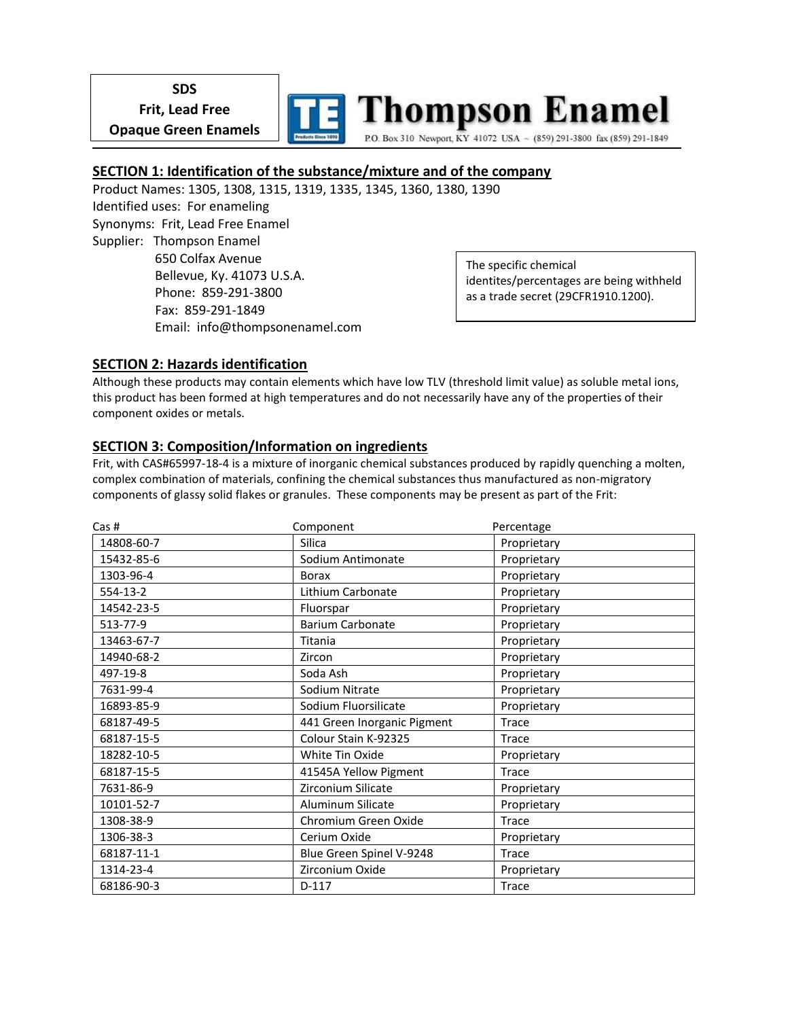**SDS Frit, Lead Free Opaque Green Enamels** 



#### **SECTION 1: Identification of the substance/mixture and of the company**

Product Names: 1305, 1308, 1315, 1319, 1335, 1345, 1360, 1380, 1390 Identified uses: For enameling Synonyms: Frit, Lead Free Enamel Supplier: Thompson Enamel 650 Colfax Avenue Bellevue, Ky. 41073 U.S.A. Phone: 859-291-3800 Fax: 859-291-1849 Email: info@thompsonenamel.com

The specific chemical identites/percentages are being withheld as a trade secret (29CFR1910.1200).

#### **SECTION 2: Hazards identification**

Although these products may contain elements which have low TLV (threshold limit value) as soluble metal ions, this product has been formed at high temperatures and do not necessarily have any of the properties of their component oxides or metals.

#### **SECTION 3: Composition/Information on ingredients**

Frit, with CAS#65997-18-4 is a mixture of inorganic chemical substances produced by rapidly quenching a molten, complex combination of materials, confining the chemical substances thus manufactured as non-migratory components of glassy solid flakes or granules. These components may be present as part of the Frit:

| Cas #      | Component                   | Percentage   |
|------------|-----------------------------|--------------|
| 14808-60-7 | <b>Silica</b>               | Proprietary  |
| 15432-85-6 | Sodium Antimonate           | Proprietary  |
| 1303-96-4  | <b>Borax</b>                | Proprietary  |
| 554-13-2   | Lithium Carbonate           | Proprietary  |
| 14542-23-5 | Fluorspar                   | Proprietary  |
| 513-77-9   | <b>Barium Carbonate</b>     | Proprietary  |
| 13463-67-7 | Titania                     | Proprietary  |
| 14940-68-2 | Zircon                      | Proprietary  |
| 497-19-8   | Soda Ash                    | Proprietary  |
| 7631-99-4  | Sodium Nitrate              | Proprietary  |
| 16893-85-9 | Sodium Fluorsilicate        | Proprietary  |
| 68187-49-5 | 441 Green Inorganic Pigment | Trace        |
| 68187-15-5 | Colour Stain K-92325        | Trace        |
| 18282-10-5 | White Tin Oxide             | Proprietary  |
| 68187-15-5 | 41545A Yellow Pigment       | <b>Trace</b> |
| 7631-86-9  | Zirconium Silicate          | Proprietary  |
| 10101-52-7 | Aluminum Silicate           | Proprietary  |
| 1308-38-9  | Chromium Green Oxide        | Trace        |
| 1306-38-3  | Cerium Oxide                | Proprietary  |
| 68187-11-1 | Blue Green Spinel V-9248    | Trace        |
| 1314-23-4  | Zirconium Oxide             | Proprietary  |
| 68186-90-3 | $D-117$                     | <b>Trace</b> |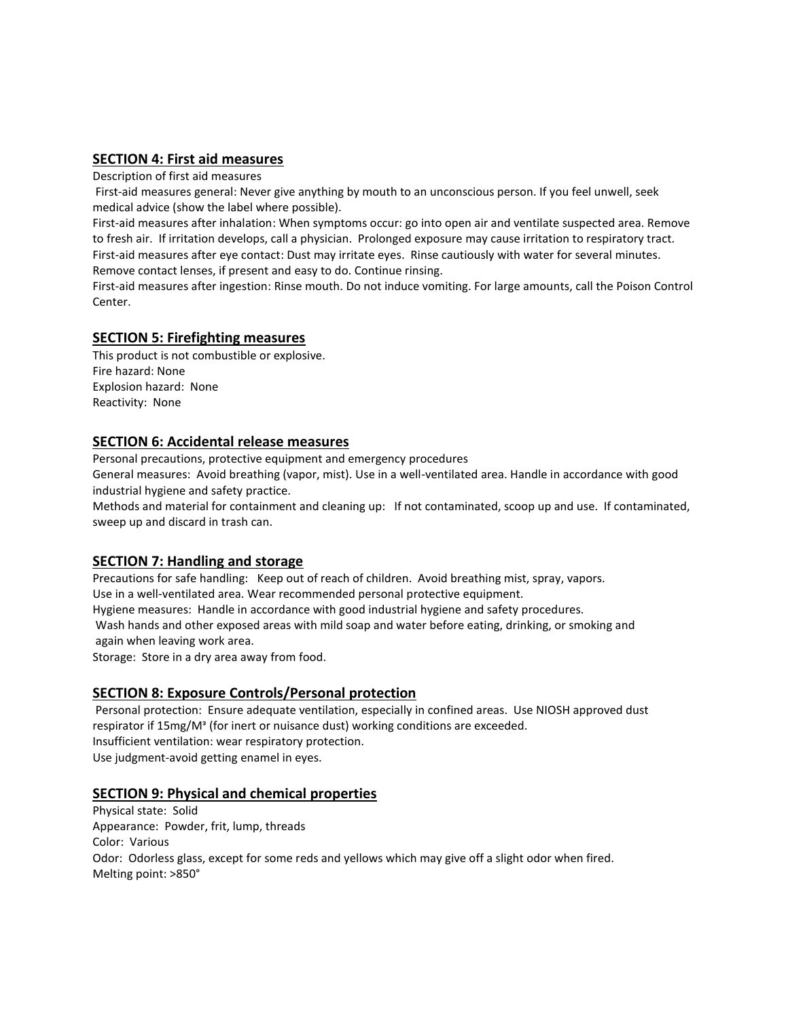### **SECTION 4: First aid measures**

Description of first aid measures

First-aid measures general: Never give anything by mouth to an unconscious person. If you feel unwell, seek medical advice (show the label where possible).

First-aid measures after inhalation: When symptoms occur: go into open air and ventilate suspected area. Remove to fresh air. If irritation develops, call a physician. Prolonged exposure may cause irritation to respiratory tract. First-aid measures after eye contact: Dust may irritate eyes. Rinse cautiously with water for several minutes. Remove contact lenses, if present and easy to do. Continue rinsing.

First-aid measures after ingestion: Rinse mouth. Do not induce vomiting. For large amounts, call the Poison Control Center.

#### **SECTION 5: Firefighting measures**

This product is not combustible or explosive. Fire hazard: None Explosion hazard: None Reactivity: None

# **SECTION 6: Accidental release measures**

Personal precautions, protective equipment and emergency procedures

General measures: Avoid breathing (vapor, mist). Use in a well-ventilated area. Handle in accordance with good industrial hygiene and safety practice.

Methods and material for containment and cleaning up: If not contaminated, scoop up and use. If contaminated, sweep up and discard in trash can.

#### **SECTION 7: Handling and storage**

Precautions for safe handling: Keep out of reach of children. Avoid breathing mist, spray, vapors. Use in a well-ventilated area. Wear recommended personal protective equipment. Hygiene measures: Handle in accordance with good industrial hygiene and safety procedures. Wash hands and other exposed areas with mild soap and water before eating, drinking, or smoking and again when leaving work area.

Storage: Store in a dry area away from food.

#### **SECTION 8: Exposure Controls/Personal protection**

Personal protection: Ensure adequate ventilation, especially in confined areas. Use NIOSH approved dust respirator if 15mg/Mᵌ (for inert or nuisance dust) working conditions are exceeded. Insufficient ventilation: wear respiratory protection. Use judgment-avoid getting enamel in eyes.

#### **SECTION 9: Physical and chemical properties**

Physical state: Solid Appearance: Powder, frit, lump, threads Color: Various Odor: Odorless glass, except for some reds and yellows which may give off a slight odor when fired. Melting point: >850°